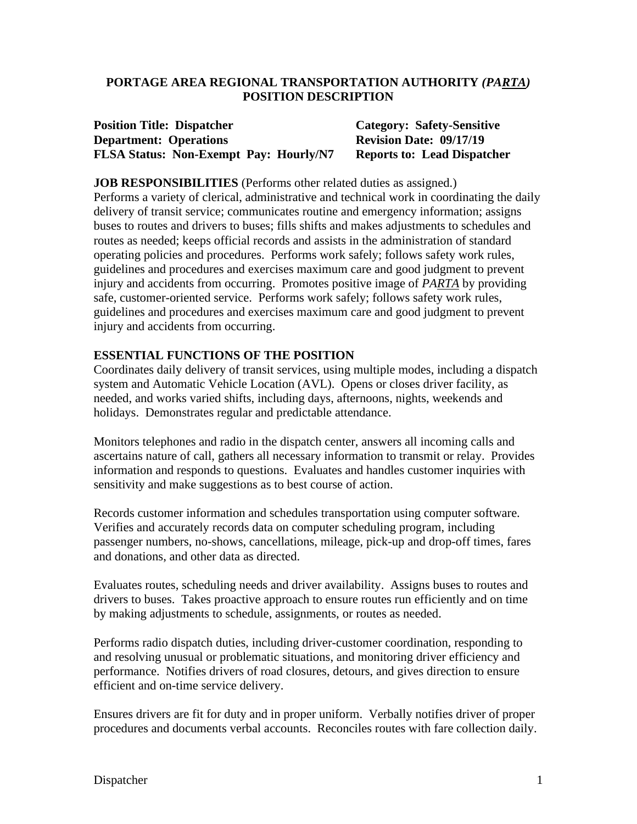#### **PORTAGE AREA REGIONAL TRANSPORTATION AUTHORITY** *(PARTA)* **POSITION DESCRIPTION**

#### **Position Title: Dispatcher Category: Safety-Sensitive Department: Operations Revision Date: 09/17/19 FLSA Status: Non-Exempt Pay: Hourly/N7 Reports to: Lead Dispatcher**

#### **JOB RESPONSIBILITIES** (Performs other related duties as assigned.)

Performs a variety of clerical, administrative and technical work in coordinating the daily delivery of transit service; communicates routine and emergency information; assigns buses to routes and drivers to buses; fills shifts and makes adjustments to schedules and routes as needed; keeps official records and assists in the administration of standard operating policies and procedures. Performs work safely; follows safety work rules, guidelines and procedures and exercises maximum care and good judgment to prevent injury and accidents from occurring. Promotes positive image of *PARTA* by providing safe, customer-oriented service. Performs work safely; follows safety work rules, guidelines and procedures and exercises maximum care and good judgment to prevent injury and accidents from occurring.

#### **ESSENTIAL FUNCTIONS OF THE POSITION**

Coordinates daily delivery of transit services, using multiple modes, including a dispatch system and Automatic Vehicle Location (AVL). Opens or closes driver facility, as needed, and works varied shifts, including days, afternoons, nights, weekends and holidays. Demonstrates regular and predictable attendance.

Monitors telephones and radio in the dispatch center, answers all incoming calls and ascertains nature of call, gathers all necessary information to transmit or relay. Provides information and responds to questions. Evaluates and handles customer inquiries with sensitivity and make suggestions as to best course of action.

Records customer information and schedules transportation using computer software. Verifies and accurately records data on computer scheduling program, including passenger numbers, no-shows, cancellations, mileage, pick-up and drop-off times, fares and donations, and other data as directed.

Evaluates routes, scheduling needs and driver availability. Assigns buses to routes and drivers to buses. Takes proactive approach to ensure routes run efficiently and on time by making adjustments to schedule, assignments, or routes as needed.

Performs radio dispatch duties, including driver-customer coordination, responding to and resolving unusual or problematic situations, and monitoring driver efficiency and performance. Notifies drivers of road closures, detours, and gives direction to ensure efficient and on-time service delivery.

Ensures drivers are fit for duty and in proper uniform. Verbally notifies driver of proper procedures and documents verbal accounts. Reconciles routes with fare collection daily.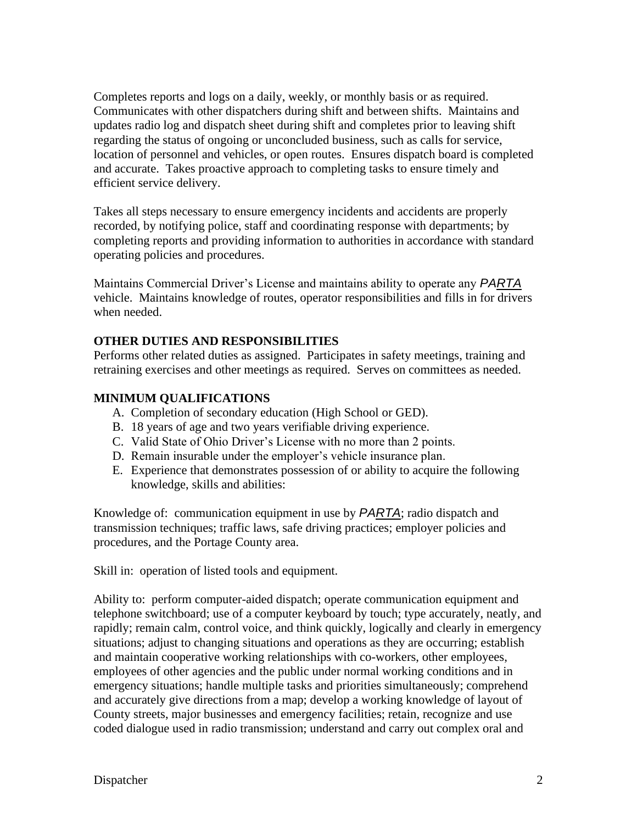Completes reports and logs on a daily, weekly, or monthly basis or as required. Communicates with other dispatchers during shift and between shifts. Maintains and updates radio log and dispatch sheet during shift and completes prior to leaving shift regarding the status of ongoing or unconcluded business, such as calls for service, location of personnel and vehicles, or open routes. Ensures dispatch board is completed and accurate. Takes proactive approach to completing tasks to ensure timely and efficient service delivery.

Takes all steps necessary to ensure emergency incidents and accidents are properly recorded, by notifying police, staff and coordinating response with departments; by completing reports and providing information to authorities in accordance with standard operating policies and procedures.

Maintains Commercial Driver's License and maintains ability to operate any *PARTA* vehicle. Maintains knowledge of routes, operator responsibilities and fills in for drivers when needed.

### **OTHER DUTIES AND RESPONSIBILITIES**

Performs other related duties as assigned. Participates in safety meetings, training and retraining exercises and other meetings as required. Serves on committees as needed.

### **MINIMUM QUALIFICATIONS**

- A. Completion of secondary education (High School or GED).
- B. 18 years of age and two years verifiable driving experience.
- C. Valid State of Ohio Driver's License with no more than 2 points.
- D. Remain insurable under the employer's vehicle insurance plan.
- E. Experience that demonstrates possession of or ability to acquire the following knowledge, skills and abilities:

Knowledge of: communication equipment in use by *PARTA*; radio dispatch and transmission techniques; traffic laws, safe driving practices; employer policies and procedures, and the Portage County area.

Skill in: operation of listed tools and equipment.

Ability to: perform computer-aided dispatch; operate communication equipment and telephone switchboard; use of a computer keyboard by touch; type accurately, neatly, and rapidly; remain calm, control voice, and think quickly, logically and clearly in emergency situations; adjust to changing situations and operations as they are occurring; establish and maintain cooperative working relationships with co-workers, other employees, employees of other agencies and the public under normal working conditions and in emergency situations; handle multiple tasks and priorities simultaneously; comprehend and accurately give directions from a map; develop a working knowledge of layout of County streets, major businesses and emergency facilities; retain, recognize and use coded dialogue used in radio transmission; understand and carry out complex oral and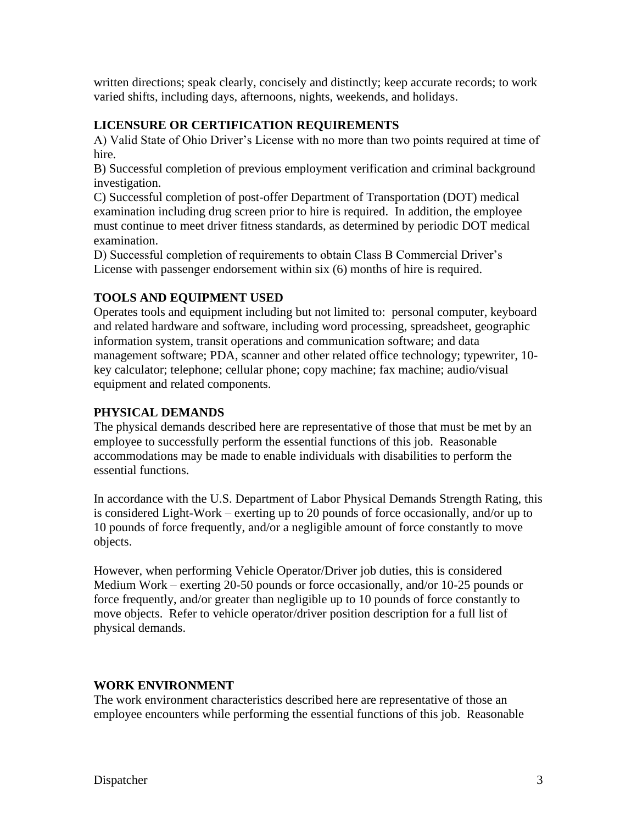written directions; speak clearly, concisely and distinctly; keep accurate records; to work varied shifts, including days, afternoons, nights, weekends, and holidays.

### **LICENSURE OR CERTIFICATION REQUIREMENTS**

A) Valid State of Ohio Driver's License with no more than two points required at time of hire.

B) Successful completion of previous employment verification and criminal background investigation.

C) Successful completion of post-offer Department of Transportation (DOT) medical examination including drug screen prior to hire is required. In addition, the employee must continue to meet driver fitness standards, as determined by periodic DOT medical examination.

D) Successful completion of requirements to obtain Class B Commercial Driver's License with passenger endorsement within six (6) months of hire is required.

# **TOOLS AND EQUIPMENT USED**

Operates tools and equipment including but not limited to: personal computer, keyboard and related hardware and software, including word processing, spreadsheet, geographic information system, transit operations and communication software; and data management software; PDA, scanner and other related office technology; typewriter, 10 key calculator; telephone; cellular phone; copy machine; fax machine; audio/visual equipment and related components.

## **PHYSICAL DEMANDS**

The physical demands described here are representative of those that must be met by an employee to successfully perform the essential functions of this job. Reasonable accommodations may be made to enable individuals with disabilities to perform the essential functions.

In accordance with the U.S. Department of Labor Physical Demands Strength Rating, this is considered Light-Work – exerting up to 20 pounds of force occasionally, and/or up to 10 pounds of force frequently, and/or a negligible amount of force constantly to move objects.

However, when performing Vehicle Operator/Driver job duties, this is considered Medium Work – exerting 20-50 pounds or force occasionally, and/or 10-25 pounds or force frequently, and/or greater than negligible up to 10 pounds of force constantly to move objects. Refer to vehicle operator/driver position description for a full list of physical demands.

### **WORK ENVIRONMENT**

The work environment characteristics described here are representative of those an employee encounters while performing the essential functions of this job. Reasonable